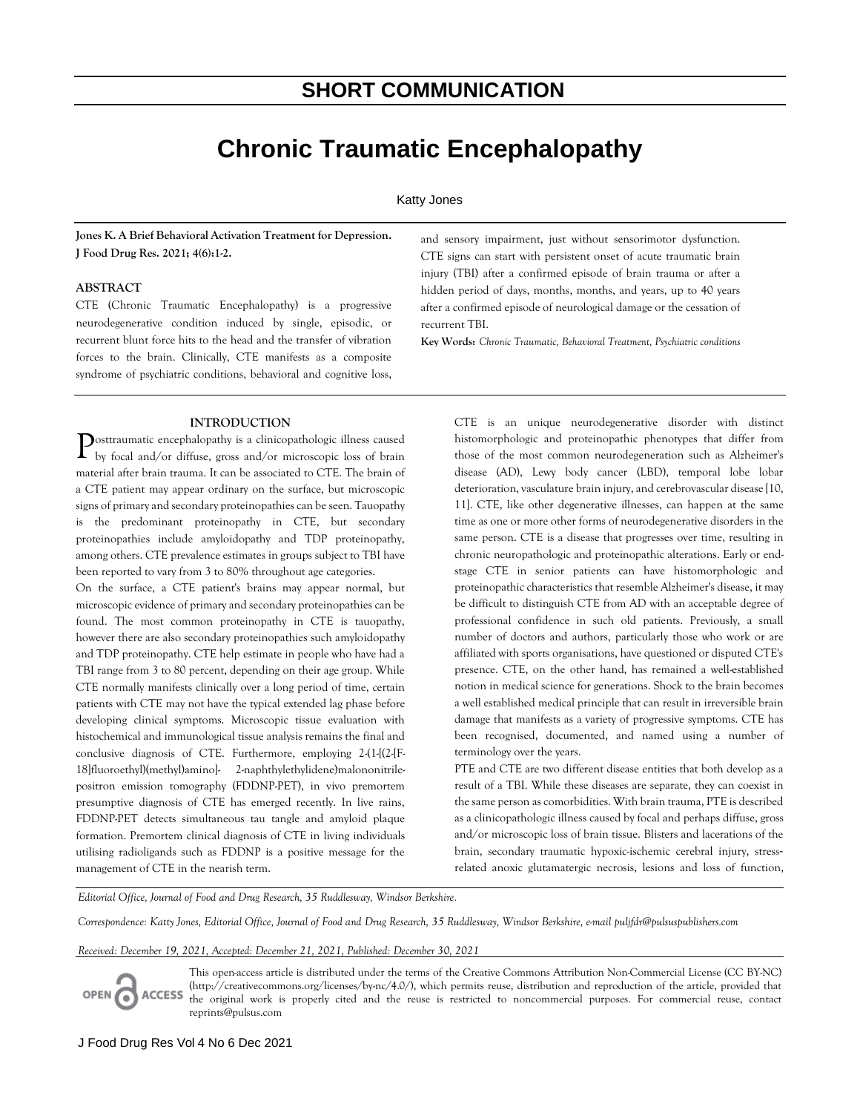# **SHORT COMMUNICATION**

# **Chronic Traumatic Encephalopathy**

## Katty Jones

**Jones K. A Brief Behavioral Activation Treatment for Depression. J Food Drug Res. 2021; 4(6):1-2.**

#### **ABSTRACT**

CTE (Chronic Traumatic Encephalopathy) is a progressive neurodegenerative condition induced by single, episodic, or recurrent blunt force hits to the head and the transfer of vibration forces to the brain. Clinically, CTE manifests as a composite syndrome of psychiatric conditions, behavioral and cognitive loss,

#### **INTRODUCTION**

 $\sum_{\text{by focal and/or diffuse, gross and/or microscope loss of brain}}$ by focal and/or diffuse, gross and/or microscopic loss of brain material after brain trauma. It can be associated to CTE. The brain of a CTE patient may appear ordinary on the surface, but microscopic signs of primary and secondary proteinopathies can be seen. Tauopathy is the predominant proteinopathy in CTE, but secondary proteinopathies include amyloidopathy and TDP proteinopathy, among others. CTE prevalence estimates in groups subject to TBI have been reported to vary from 3 to 80% throughout age categories.

On the surface, a CTE patient's brains may appear normal, but microscopic evidence of primary and secondary proteinopathies can be found. The most common proteinopathy in CTE is tauopathy, however there are also secondary proteinopathies such amyloidopathy and TDP proteinopathy. CTE help estimate in people who have had a TBI range from 3 to 80 percent, depending on their age group. While CTE normally manifests clinically over a long period of time, certain patients with CTE may not have the typical extended lag phase before developing clinical symptoms. Microscopic tissue evaluation with histochemical and immunological tissue analysis remains the final and conclusive diagnosis of CTE. Furthermore, employing 2-(1-[(2-[F-18]fluoroethyl)(methyl)amino]- 2-naphthylethylidene)malononitrilepositron emission tomography (FDDNP-PET), in vivo premortem presumptive diagnosis of CTE has emerged recently. In live rains, FDDNP-PET detects simultaneous tau tangle and amyloid plaque formation. Premortem clinical diagnosis of CTE in living individuals utilising radioligands such as FDDNP is a positive message for the management of CTE in the nearish term.

and sensory impairment, just without sensorimotor dysfunction. CTE signs can start with persistent onset of acute traumatic brain injury (TBI) after a confirmed episode of brain trauma or after a hidden period of days, months, months, and years, up to 40 years after a confirmed episode of neurological damage or the cessation of recurrent TBI.

**Key Words:** *Chronic Traumatic, Behavioral Treatment, Psychiatric conditions*

CTE is an unique neurodegenerative disorder with distinct histomorphologic and proteinopathic phenotypes that differ from those of the most common neurodegeneration such as Alzheimer's disease (AD), Lewy body cancer (LBD), temporal lobe lobar deterioration, vasculature brain injury, and cerebrovascular disease [10, 11]. CTE, like other degenerative illnesses, can happen at the same time as one or more other forms of neurodegenerative disorders in the same person. CTE is a disease that progresses over time, resulting in chronic neuropathologic and proteinopathic alterations. Early or endstage CTE in senior patients can have histomorphologic and proteinopathic characteristics that resemble Alzheimer's disease, it may be difficult to distinguish CTE from AD with an acceptable degree of professional confidence in such old patients. Previously, a small number of doctors and authors, particularly those who work or are affiliated with sports organisations, have questioned or disputed CTE's presence. CTE, on the other hand, has remained a well-established notion in medical science for generations. Shock to the brain becomes a well established medical principle that can result in irreversible brain damage that manifests as a variety of progressive symptoms. CTE has been recognised, documented, and named using a number of terminology over the years.

PTE and CTE are two different disease entities that both develop as a result of a TBI. While these diseases are separate, they can coexist in the same person as comorbidities. With brain trauma, PTE is described as a clinicopathologic illness caused by focal and perhaps diffuse, gross and/or microscopic loss of brain tissue. Blisters and lacerations of the brain, secondary traumatic hypoxic-ischemic cerebral injury, stress‐ related anoxic glutamatergic necrosis, lesions and loss of function,

*Editorial Office, Journal of Food and Drug Research, 35 Ruddlesway, Windsor Berkshire.*

*Correspondence: Katty Jones, Editorial Office, Journal of Food and Drug Research, 35 Ruddlesway, Windsor Berkshire, e-mail puljfdr@pulsuspublishers.com*

*Received: December 19, 2021, Accepted: December 21, 2021, Published: December 30, 2021*



This open-access article is distributed under the terms of the Creative Commons Attribution Non-Commercial License (CC BY-NC) (http://creativecommons.org/licenses/by-nc/4.0/), which permits reuse, distribution and reproduction of the article, provided that the original work is properly cited and the reuse is restricted to noncommercial purposes. For commercial reuse, contact reprints@pulsus.com